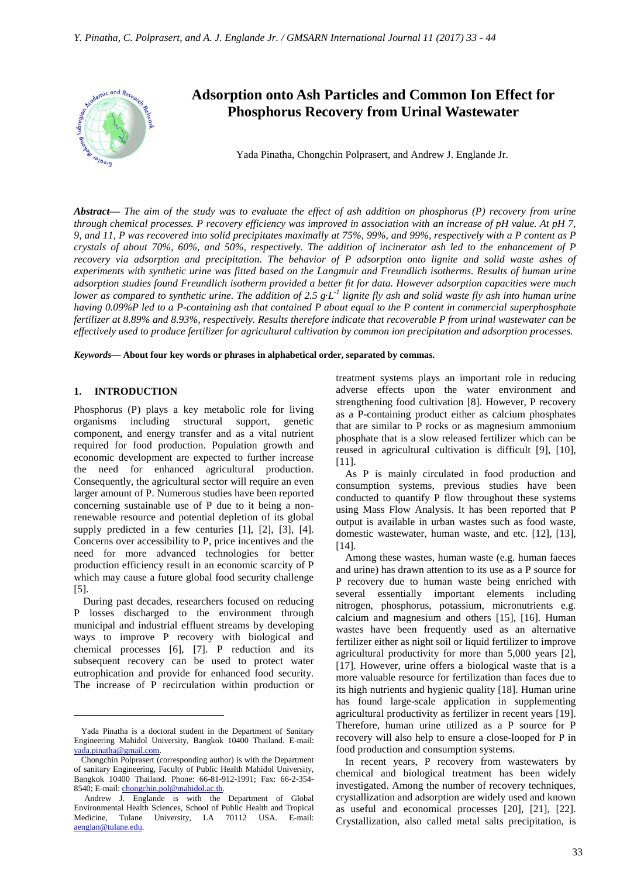

# **Adsorption onto Ash Particles and Common Ion Effect for Phosphorus Recovery from Urinal Wastewater**

Yada Pinatha, Chongchin Polprasert, and Andrew J. Englande Jr.

*Abstract***—** *The aim of the study was to evaluate the effect of ash addition on phosphorus (P) recovery from urine through chemical processes. P recovery efficiency was improved in association with an increase of pH value. At pH 7, 9, and 11, P was recovered into solid precipitates maximally at 75%, 99%, and 99%, respectively with a P content as P crystals of about 70%, 60%, and 50%, respectively. The addition of incinerator ash led to the enhancement of P recovery via adsorption and precipitation. The behavior of P adsorption onto lignite and solid waste ashes of experiments with synthetic urine was fitted based on the Langmuir and Freundlich isotherms. Results of human urine adsorption studies found Freundlich isotherm provided a better fit for data. However adsorption capacities were much lower as compared to synthetic urine. The addition of 2.5 g*∙*L -1 lignite fly ash and solid waste fly ash into human urine having 0.09%P led to a P-containing ash that contained P about equal to the P content in commercial superphosphate fertilizer at 8.89% and 8.93%, respectively. Results therefore indicate that recoverable P from urinal wastewater can be effectively used to produce fertilizer for agricultural cultivation by common ion precipitation and adsorption processes.*

*Keywords***— About four key words or phrases in alphabetical order, separated by commas.**

# **1. INTRODUCTION**

 $\overline{a}$ 

Phosphorus (P) plays a key metabolic role for living organisms including structural support, genetic component, and energy transfer and as a vital nutrient required for food production. Population growth and economic development are expected to further increase the need for enhanced agricultural production. Consequently, the agricultural sector will require an even larger amount of P. Numerous studies have been reported concerning sustainable use of P due to it being a nonrenewable resource and potential depletion of its global supply predicted in a few centuries [1], [2], [3], [4]. Concerns over accessibility to P, price incentives and the need for more advanced technologies for better production efficiency result in an economic scarcity of P which may cause a future global food security challenge [5].

During past decades, researchers focused on reducing P losses discharged to the environment through municipal and industrial effluent streams by developing ways to improve P recovery with biological and chemical processes [6], [7]. P reduction and its subsequent recovery can be used to protect water eutrophication and provide for enhanced food security. The increase of P recirculation within production or

treatment systems plays an important role in reducing adverse effects upon the water environment and strengthening food cultivation [8]. However, P recovery as a P-containing product either as calcium phosphates that are similar to P rocks or as magnesium ammonium phosphate that is a slow released fertilizer which can be reused in agricultural cultivation is difficult [9], [10], [11].

As P is mainly circulated in food production and consumption systems, previous studies have been conducted to quantify P flow throughout these systems using Mass Flow Analysis. It has been reported that P output is available in urban wastes such as food waste, domestic wastewater, human waste, and etc. [12], [13], [14].

Among these wastes, human waste (e.g. human faeces and urine) has drawn attention to its use as a P source for P recovery due to human waste being enriched with several essentially important elements including nitrogen, phosphorus, potassium, micronutrients e.g. calcium and magnesium and others [15], [16]. Human wastes have been frequently used as an alternative fertilizer either as night soil or liquid fertilizer to improve agricultural productivity for more than 5,000 years [2], [17]. However, urine offers a biological waste that is a more valuable resource for fertilization than faces due to its high nutrients and hygienic quality [18]. Human urine has found large-scale application in supplementing agricultural productivity as fertilizer in recent years [19]. Therefore, human urine utilized as a P source for P recovery will also help to ensure a close-looped for P in food production and consumption systems.

In recent years, P recovery from wastewaters by chemical and biological treatment has been widely investigated. Among the number of recovery techniques, crystallization and adsorption are widely used and known as useful and economical processes [20], [21], [22]. Crystallization, also called metal salts precipitation, is

Yada Pinatha is a doctoral student in the Department of Sanitary Engineering Mahidol University, Bangkok 10400 Thailand. E-mail: yada.pinatha@gmail.com.

Chongchin Polprasert (corresponding author) is with the Department of sanitary Engineering, Faculty of Public Health Mahidol University, Bangkok 10400 Thailand. Phone: 66-81-912-1991; Fax: 66-2-354- 8540; E-mail: chongchin.pol@mahidol.ac.th.

Andrew J. Englande is with the Department of Global Environmental Health Sciences, School of Public Health and Tropical Medicine, Tulane University, LA 70112 USA. E-mail: aenglan@tulane.edu.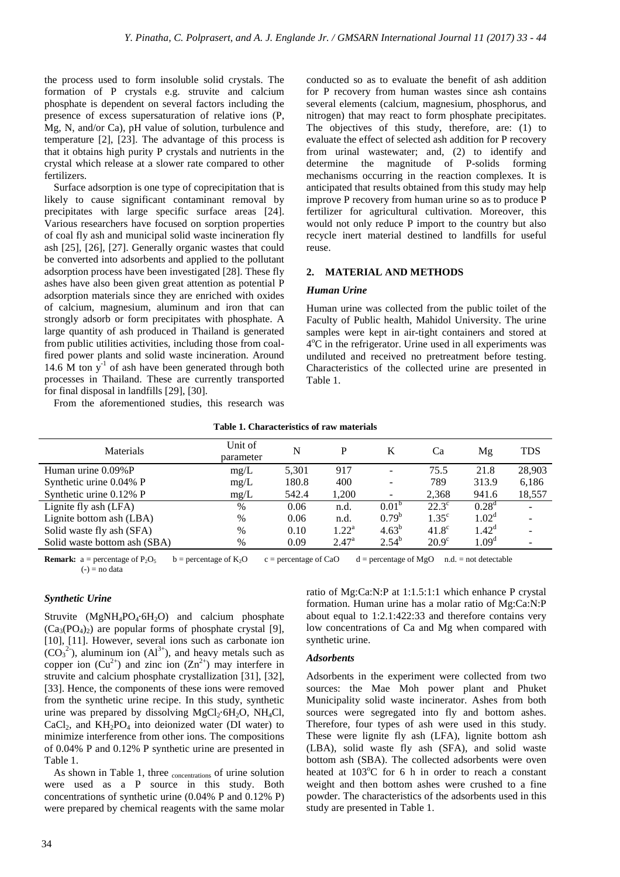the process used to form insoluble solid crystals. The formation of P crystals e.g. struvite and calcium phosphate is dependent on several factors including the presence of excess supersaturation of relative ions (P, Mg, N, and/or Ca), pH value of solution, turbulence and temperature [2], [23]. The advantage of this process is that it obtains high purity P crystals and nutrients in the crystal which release at a slower rate compared to other fertilizers.

Surface adsorption is one type of coprecipitation that is likely to cause significant contaminant removal by precipitates with large specific surface areas [24]. Various researchers have focused on sorption properties of coal fly ash and municipal solid waste incineration fly ash [25], [26], [27]. Generally organic wastes that could be converted into adsorbents and applied to the pollutant adsorption process have been investigated [28]. These fly ashes have also been given great attention as potential P adsorption materials since they are enriched with oxides of calcium, magnesium, aluminum and iron that can strongly adsorb or form precipitates with phosphate. A large quantity of ash produced in Thailand is generated from public utilities activities, including those from coalfired power plants and solid waste incineration. Around 14.6  $\mathbf{\hat{M}}$  ton  $\mathbf{y}^{-1}$  of ash have been generated through both processes in Thailand. These are currently transported for final disposal in landfills [29], [30].

From the aforementioned studies, this research was

conducted so as to evaluate the benefit of ash addition for P recovery from human wastes since ash contains several elements (calcium, magnesium, phosphorus, and nitrogen) that may react to form phosphate precipitates. The objectives of this study, therefore, are: (1) to evaluate the effect of selected ash addition for P recovery from urinal wastewater; and, (2) to identify and determine the magnitude of P-solids forming mechanisms occurring in the reaction complexes. It is anticipated that results obtained from this study may help improve P recovery from human urine so as to produce P fertilizer for agricultural cultivation. Moreover, this would not only reduce P import to the country but also recycle inert material destined to landfills for useful reuse.

## **2. MATERIAL AND METHODS**

## *Human Urine*

Human urine was collected from the public toilet of the Faculty of Public health, Mahidol University. The urine samples were kept in air-tight containers and stored at 4<sup>o</sup>C in the refrigerator. Urine used in all experiments was undiluted and received no pretreatment before testing. Characteristics of the collected urine are presented in Table 1.

#### **Table 1. Characteristics of raw materials**

| Materials                    | Unit of<br>parameter | N     | P              |                   | Ca             | Mg                | <b>TDS</b>               |
|------------------------------|----------------------|-------|----------------|-------------------|----------------|-------------------|--------------------------|
| Human urine $0.09\%$ P       | mg/L                 | 5,301 | 917            |                   | 75.5           | 21.8              | 28,903                   |
| Synthetic urine 0.04% P      | mg/L                 | 180.8 | 400            |                   | 789            | 313.9             | 6,186                    |
| Synthetic urine $0.12\%$ P   | mg/L                 | 542.4 | 1.200          |                   | 2,368          | 941.6             | 18,557                   |
| Lignite fly ash (LFA)        | $\%$                 | 0.06  | n.d.           | 0.01 <sup>b</sup> | $22.3^{\circ}$ | $0.28^d$          | $\overline{\phantom{a}}$ |
| Lignite bottom ash (LBA)     | $\%$                 | 0.06  | n.d.           | $0.79^{b}$        | $1.35^{\circ}$ | $1.02^d$          |                          |
| Solid waste fly ash (SFA)    | $\%$                 | 0.10  | $1.22^{\rm a}$ | $4.63^{b}$        | $41.8^\circ$   | $1.42^d$          |                          |
| Solid waste bottom ash (SBA) | %                    | 0.09  | $2.47^{\rm a}$ | $2.54^{b}$        | $20.9^\circ$   | 1.09 <sup>d</sup> |                          |

**Remark:** a = percentage of P<sub>2</sub>O<sub>5</sub> b = percentage of K<sub>2</sub>O c = percentage of CaO d = percentage of MgO n.d. = not detectable  $(-)$  = no data

## *Synthetic Urine*

Struvite (MgNH<sub>4</sub>PO<sub>4</sub>⋅6H<sub>2</sub>O) and calcium phosphate  $(Ca_3(PO_4)_2)$  are popular forms of phosphate crystal [9], [10], [11]. However, several ions such as carbonate ion  $(CO_3^2)$ , aluminum ion  $(A1^3)$ , and heavy metals such as copper ion  $(Cu^{2+})$  and zinc ion  $(Zn^{2+})$  may interfere in struvite and calcium phosphate crystallization [31], [32], [33]. Hence, the components of these ions were removed from the synthetic urine recipe. In this study, synthetic urine was prepared by dissolving MgCl<sub>2</sub>⋅6H<sub>2</sub>O, NH<sub>4</sub>Cl, CaCl<sub>2</sub>, and  $KH<sub>2</sub>PO<sub>4</sub>$  into deionized water (DI water) to minimize interference from other ions. The compositions of 0.04% P and 0.12% P synthetic urine are presented in Table 1.

As shown in Table 1, three concentrations of urine solution were used as a P source in this study. Both concentrations of synthetic urine (0.04% P and 0.12% P) were prepared by chemical reagents with the same molar

ratio of Mg:Ca:N:P at 1:1.5:1:1 which enhance P crystal formation. Human urine has a molar ratio of Mg:Ca:N:P about equal to 1:2.1:422:33 and therefore contains very low concentrations of Ca and Mg when compared with synthetic urine.

#### *Adsorbents*

Adsorbents in the experiment were collected from two sources: the Mae Moh power plant and Phuket Municipality solid waste incinerator. Ashes from both sources were segregated into fly and bottom ashes. Therefore, four types of ash were used in this study. These were lignite fly ash (LFA), lignite bottom ash (LBA), solid waste fly ash (SFA), and solid waste bottom ash (SBA). The collected adsorbents were oven heated at  $103^{\circ}$ C for 6 h in order to reach a constant weight and then bottom ashes were crushed to a fine powder. The characteristics of the adsorbents used in this study are presented in Table 1.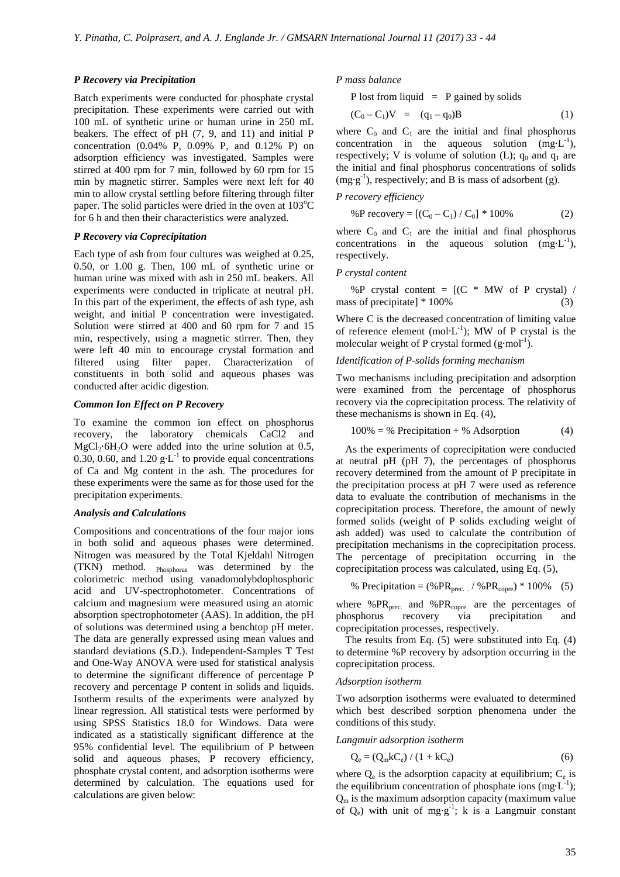#### *P Recovery via Precipitation*

Batch experiments were conducted for phosphate crystal precipitation. These experiments were carried out with 100 mL of synthetic urine or human urine in 250 mL beakers. The effect of pH (7, 9, and 11) and initial P concentration (0.04% P, 0.09% P, and 0.12% P) on adsorption efficiency was investigated. Samples were stirred at 400 rpm for 7 min, followed by 60 rpm for 15 min by magnetic stirrer. Samples were next left for 40 min to allow crystal settling before filtering through filter paper. The solid particles were dried in the oven at  $103^{\circ}$ C for 6 h and then their characteristics were analyzed.

## *P Recovery via Coprecipitation*

Each type of ash from four cultures was weighed at 0.25, 0.50, or 1.00 g. Then, 100 mL of synthetic urine or human urine was mixed with ash in 250 mL beakers. All experiments were conducted in triplicate at neutral pH. In this part of the experiment, the effects of ash type, ash weight, and initial P concentration were investigated. Solution were stirred at 400 and 60 rpm for 7 and 15 min, respectively, using a magnetic stirrer. Then, they were left 40 min to encourage crystal formation and filtered using filter paper. Characterization of constituents in both solid and aqueous phases was conducted after acidic digestion.

# *Common Ion Effect on P Recovery*

To examine the common ion effect on phosphorus recovery, the laboratory chemicals CaCl2 and MgCl<sub>2</sub>⋅6H<sub>2</sub>O were added into the urine solution at 0.5, 0.30, 0.60, and 1.20  $g L^{-1}$  to provide equal concentrations of Ca and Mg content in the ash. The procedures for these experiments were the same as for those used for the precipitation experiments.

#### *Analysis and Calculations*

Compositions and concentrations of the four major ions in both solid and aqueous phases were determined. Nitrogen was measured by the Total Kjeldahl Nitrogen (TKN) method. Phosphorus was determined by the colorimetric method using vanadomolybdophosphoric acid and UV-spectrophotometer. Concentrations of calcium and magnesium were measured using an atomic absorption spectrophotometer (AAS). In addition, the pH of solutions was determined using a benchtop pH meter. The data are generally expressed using mean values and standard deviations (S.D.). Independent-Samples T Test and One-Way ANOVA were used for statistical analysis to determine the significant difference of percentage P recovery and percentage P content in solids and liquids. Isotherm results of the experiments were analyzed by linear regression. All statistical tests were performed by using SPSS Statistics 18.0 for Windows. Data were indicated as a statistically significant difference at the 95% confidential level. The equilibrium of P between solid and aqueous phases, P recovery efficiency, phosphate crystal content, and adsorption isotherms were determined by calculation. The equations used for calculations are given below:

*P mass balance* 

P lost from liquid  $=$  P gained by solids

$$
(C_0 - C_1)V = (q_1 - q_0)B \t\t(1)
$$

where  $C_0$  and  $C_1$  are the initial and final phosphorus concentration in the aqueous solution  $(mg·L^{-1})$ , respectively; V is volume of solution (L);  $q_0$  and  $q_1$  are the initial and final phosphorus concentrations of solids (mg∙g -1), respectively; and B is mass of adsorbent (g).

#### *P recovery efficiency*

%P recovery = 
$$
[(C_0 - C_1) / C_0] * 100\%
$$
 (2)

where  $C_0$  and  $C_1$  are the initial and final phosphorus concentrations in the aqueous solution  $(mg·L^{-1})$ , respectively.

#### *P crystal content*

%P crystal content = [(C \* MW of P crystal) / mass of precipitate] \* 100%(3)

Where C is the decreased concentration of limiting value of reference element (mol⋅L<sup>-1</sup>); MW of P crystal is the molecular weight of P crystal formed  $(g \cdot mol^{-1})$ .

## *Identification of P-solids forming mechanism*

Two mechanisms including precipitation and adsorption were examined from the percentage of phosphorus recovery via the coprecipitation process. The relativity of these mechanisms is shown in Eq. (4),

$$
100\% = \% \text{ Precision} + \% \text{ Association} \tag{4}
$$

As the experiments of coprecipitation were conducted at neutral pH (pH 7), the percentages of phosphorus recovery determined from the amount of P precipitate in the precipitation process at pH 7 were used as reference data to evaluate the contribution of mechanisms in the coprecipitation process. Therefore, the amount of newly formed solids (weight of P solids excluding weight of ash added) was used to calculate the contribution of precipitation mechanisms in the coprecipitation process. The percentage of precipitation occurring in the coprecipitation process was calculated, using Eq. (5),

% Precision = 
$$
(\%PR_{prec.}/\%PR_{copre}) * 100\%
$$
 (5)

where % $PR<sub>prec</sub>$  and % $PR<sub>copre</sub>$  are the percentages of phosphorus recovery via precipitation and coprecipitation processes, respectively.

The results from Eq. (5) were substituted into Eq. (4) to determine %P recovery by adsorption occurring in the coprecipitation process.

#### *Adsorption isotherm*

Two adsorption isotherms were evaluated to determined which best described sorption phenomena under the conditions of this study.

#### *Langmuir adsorption isotherm*

$$
Q_e = (Q_m k C_e) / (1 + k C_e)
$$
 (6)

where  $Q_e$  is the adsorption capacity at equilibrium;  $C_e$  is the equilibrium concentration of phosphate ions (mg⋅L<sup>-1</sup>);  $Q_m$  is the maximum adsorption capacity (maximum value of  $Q_e$ ) with unit of mg⋅g<sup>-1</sup>; k is a Langmuir constant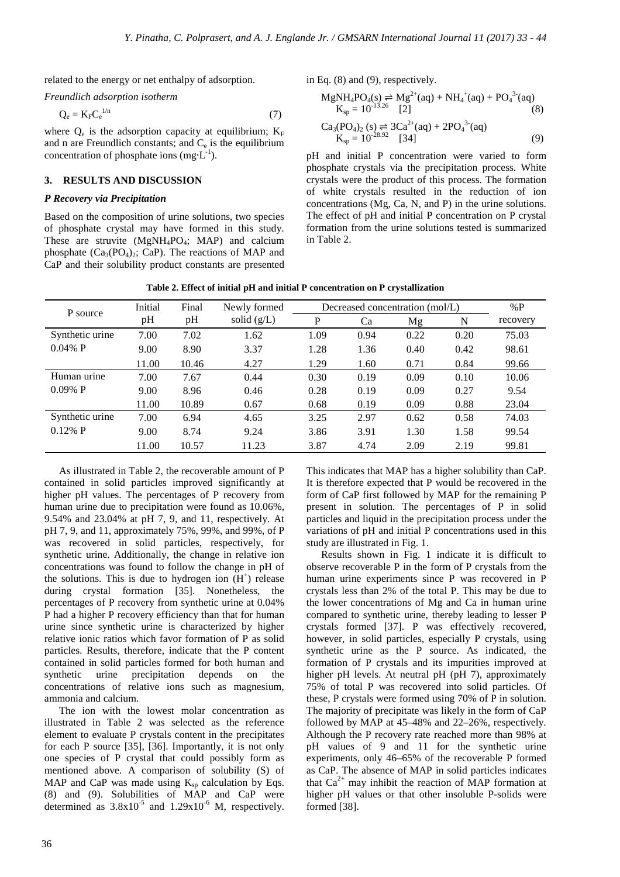related to the energy or net enthalpy of adsorption.

*Freundlich adsorption isotherm* 

$$
Q_e = K_F C_e^{1/n}
$$
 (7)

where  $Q_e$  is the adsorption capacity at equilibrium;  $K_F$ and n are Freundlich constants; and  $C_e$  is the equilibrium concentration of phosphate ions  $(mg<sup>-1</sup>)$ .

## **3. RESULTS AND DISCUSSION**

## *P Recovery via Precipitation*

Based on the composition of urine solutions, two species of phosphate crystal may have formed in this study. These are struvite  $(MgNH_4PO_4; MAP)$  and calcium phosphate  $(Ca_3(PO_4)_2; CaP)$ . The reactions of MAP and CaP and their solubility product constants are presented in Eq. (8) and (9), respectively.

$$
MgNH_4PO_4(s) \rightleftharpoons Mg^{2+}(aq) + NH_4^+(aq) + PO_4^{3-}(aq)
$$
  
\n
$$
K_{sp} = 10^{-13.26} [2]
$$
 (8)

$$
Ca_3(PO_4)_2(s) \rightleftharpoons 3Ca^{2+}(aq) + 2PO_4^{3-}(aq)
$$
  
\n
$$
K_{sp} = 10^{-28.92} \quad [34]
$$
 (9)

pH and initial P concentration were varied to form phosphate crystals via the precipitation process. White crystals were the product of this process. The formation of white crystals resulted in the reduction of ion concentrations (Mg, Ca, N, and P) in the urine solutions. The effect of pH and initial P concentration on P crystal formation from the urine solutions tested is summarized in Table 2.

| P source        | Initial<br>pH | Final | Newly formed<br>solid $(g/L)$ | Decreased concentration (mol/L) | %P   |      |      |          |
|-----------------|---------------|-------|-------------------------------|---------------------------------|------|------|------|----------|
|                 |               | pH    |                               | P                               | Ca   | Mg   | N    | recovery |
| Synthetic urine | 7.00          | 7.02  | 1.62                          | 1.09                            | 0.94 | 0.22 | 0.20 | 75.03    |
| $0.04\%$ P      | 9.00          | 8.90  | 3.37                          | 1.28                            | 1.36 | 0.40 | 0.42 | 98.61    |
|                 | 11.00         | 10.46 | 4.27                          | 1.29                            | 1.60 | 0.71 | 0.84 | 99.66    |
| Human urine     | 7.00          | 7.67  | 0.44                          | 0.30                            | 0.19 | 0.09 | 0.10 | 10.06    |
| $0.09\%$ P      | 9.00          | 8.96  | 0.46                          | 0.28                            | 0.19 | 0.09 | 0.27 | 9.54     |
|                 | 11.00         | 10.89 | 0.67                          | 0.68                            | 0.19 | 0.09 | 0.88 | 23.04    |
| Synthetic urine | 7.00          | 6.94  | 4.65                          | 3.25                            | 2.97 | 0.62 | 0.58 | 74.03    |
| $0.12\%$ P      | 9.00          | 8.74  | 9.24                          | 3.86                            | 3.91 | 1.30 | 1.58 | 99.54    |
|                 | 11.00         | 10.57 | 11.23                         | 3.87                            | 4.74 | 2.09 | 2.19 | 99.81    |

**Table 2. Effect of initial pH and initial P concentration on P crystallization** 

As illustrated in Table 2, the recoverable amount of P contained in solid particles improved significantly at higher pH values. The percentages of P recovery from human urine due to precipitation were found as 10.06%, 9.54% and 23.04% at pH 7, 9, and 11, respectively. At pH 7, 9, and 11, approximately 75%, 99%, and 99%, of P was recovered in solid particles, respectively, for synthetic urine. Additionally, the change in relative ion concentrations was found to follow the change in pH of the solutions. This is due to hydrogen ion  $(H<sup>+</sup>)$  release during crystal formation [35]. Nonetheless, the percentages of P recovery from synthetic urine at 0.04% P had a higher P recovery efficiency than that for human urine since synthetic urine is characterized by higher relative ionic ratios which favor formation of P as solid particles. Results, therefore, indicate that the P content contained in solid particles formed for both human and synthetic urine precipitation depends on the concentrations of relative ions such as magnesium, ammonia and calcium.

The ion with the lowest molar concentration as illustrated in Table 2 was selected as the reference element to evaluate P crystals content in the precipitates for each P source [35], [36]. Importantly, it is not only one species of P crystal that could possibly form as mentioned above. A comparison of solubility (S) of MAP and CaP was made using  $K_{\rm sn}$  calculation by Eqs. (8) and (9). Solubilities of MAP and CaP were determined as  $3.8x10^{-5}$  and  $1.29x10^{-6}$  M, respectively. This indicates that MAP has a higher solubility than CaP. It is therefore expected that P would be recovered in the form of CaP first followed by MAP for the remaining P present in solution. The percentages of P in solid particles and liquid in the precipitation process under the variations of pH and initial P concentrations used in this study are illustrated in Fig. 1.

Results shown in Fig. 1 indicate it is difficult to observe recoverable P in the form of P crystals from the human urine experiments since P was recovered in P crystals less than 2% of the total P. This may be due to the lower concentrations of Mg and Ca in human urine compared to synthetic urine, thereby leading to lesser P crystals formed [37]. P was effectively recovered, however, in solid particles, especially P crystals, using synthetic urine as the P source. As indicated, the formation of P crystals and its impurities improved at higher pH levels. At neutral pH (pH 7), approximately 75% of total P was recovered into solid particles. Of these, P crystals were formed using 70% of P in solution. The majority of precipitate was likely in the form of CaP followed by MAP at 45–48% and 22–26%, respectively. Although the P recovery rate reached more than 98% at pH values of 9 and 11 for the synthetic urine experiments, only 46–65% of the recoverable P formed as CaP. The absence of MAP in solid particles indicates that  $Ca^{2+}$  may inhibit the reaction of MAP formation at higher pH values or that other insoluble P-solids were formed [38].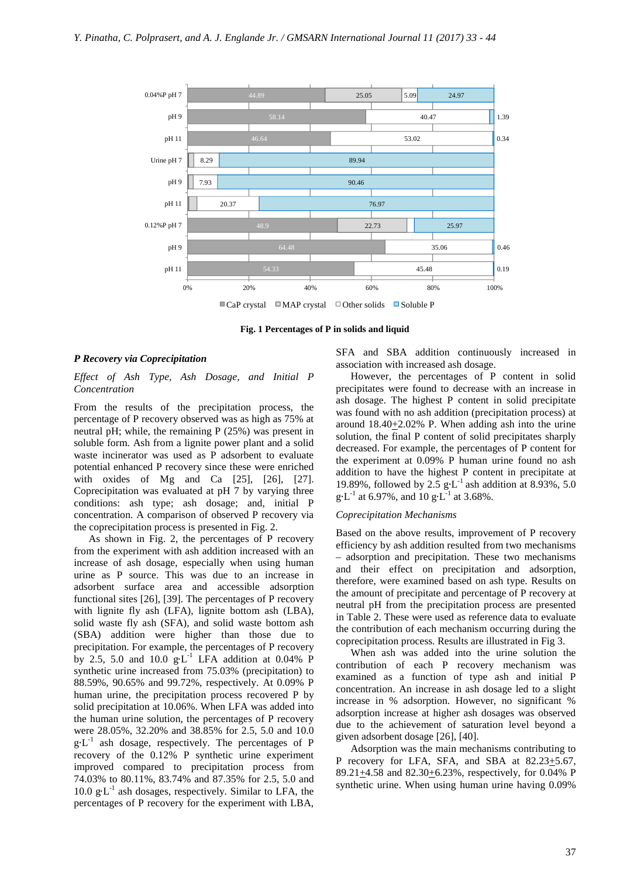

**Fig. 1 Percentages of P in solids and liquid** 

#### *P Recovery via Coprecipitation*

## *Effect of Ash Type, Ash Dosage, and Initial P Concentration*

From the results of the precipitation process, the percentage of P recovery observed was as high as 75% at neutral pH; while, the remaining P (25%) was present in soluble form. Ash from a lignite power plant and a solid waste incinerator was used as P adsorbent to evaluate potential enhanced P recovery since these were enriched with oxides of Mg and Ca [25], [26], [27]. Coprecipitation was evaluated at pH 7 by varying three conditions: ash type; ash dosage; and, initial P concentration. A comparison of observed P recovery via the coprecipitation process is presented in Fig. 2.

As shown in Fig. 2, the percentages of P recovery from the experiment with ash addition increased with an increase of ash dosage, especially when using human urine as P source. This was due to an increase in adsorbent surface area and accessible adsorption functional sites [26], [39]. The percentages of P recovery with lignite fly ash (LFA), lignite bottom ash (LBA), solid waste fly ash (SFA), and solid waste bottom ash (SBA) addition were higher than those due to precipitation. For example, the percentages of P recovery by 2.5, 5.0 and 10.0  $g L^{-1}$  LFA addition at 0.04% P synthetic urine increased from 75.03% (precipitation) to 88.59%, 90.65% and 99.72%, respectively. At 0.09% P human urine, the precipitation process recovered P by solid precipitation at 10.06%. When LFA was added into the human urine solution, the percentages of P recovery were 28.05%, 32.20% and 38.85% for 2.5, 5.0 and 10.0  $g \cdot L^{-1}$  ash dosage, respectively. The percentages of P recovery of the 0.12% P synthetic urine experiment improved compared to precipitation process from 74.03% to 80.11%, 83.74% and 87.35% for 2.5, 5.0 and 10.0 g∙L -1 ash dosages, respectively. Similar to LFA, the percentages of P recovery for the experiment with LBA,

SFA and SBA addition continuously increased in association with increased ash dosage.

However, the percentages of P content in solid precipitates were found to decrease with an increase in ash dosage. The highest P content in solid precipitate was found with no ash addition (precipitation process) at around  $18.40 \pm 2.02\%$  P. When adding ash into the urine solution, the final P content of solid precipitates sharply decreased. For example, the percentages of P content for the experiment at 0.09% P human urine found no ash addition to have the highest P content in precipitate at 19.89%, followed by 2.5  $g \cdot L^{-1}$  ash addition at 8.93%, 5.0  $g \cdot L^{-1}$  at 6.97%, and 10  $g \cdot L^{-1}$  at 3.68%.

## *Coprecipitation Mechanisms*

Based on the above results, improvement of P recovery efficiency by ash addition resulted from two mechanisms – adsorption and precipitation. These two mechanisms and their effect on precipitation and adsorption, therefore, were examined based on ash type. Results on the amount of precipitate and percentage of P recovery at neutral pH from the precipitation process are presented in Table 2. These were used as reference data to evaluate the contribution of each mechanism occurring during the coprecipitation process. Results are illustrated in Fig 3.

When ash was added into the urine solution the contribution of each P recovery mechanism was examined as a function of type ash and initial P concentration. An increase in ash dosage led to a slight increase in % adsorption. However, no significant % adsorption increase at higher ash dosages was observed due to the achievement of saturation level beyond a given adsorbent dosage [26], [40].

Adsorption was the main mechanisms contributing to P recovery for LFA, SFA, and SBA at  $82.23 \pm 5.67$ , 89.21 $\pm$ 4.58 and 82.30 $\pm$ 6.23%, respectively, for 0.04% P synthetic urine. When using human urine having 0.09%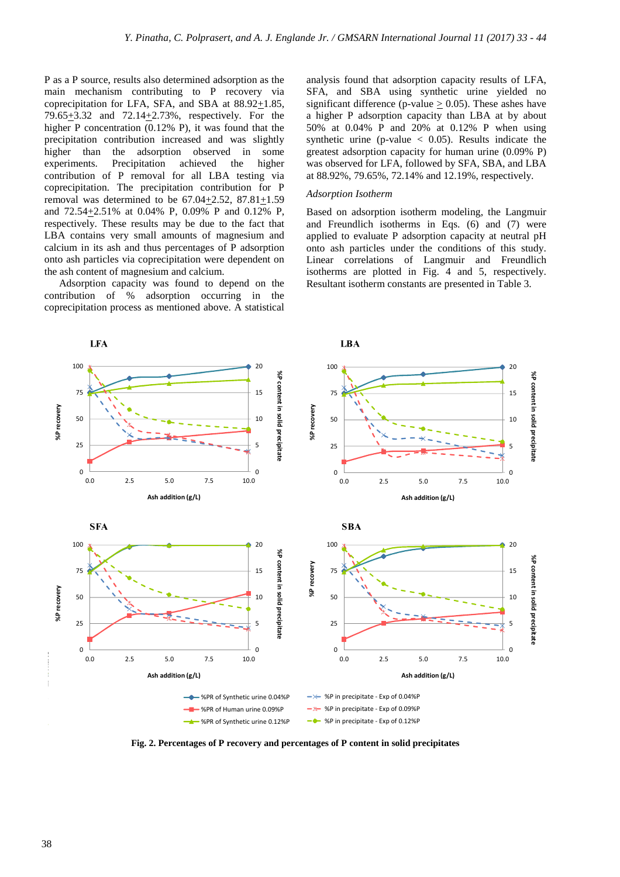P as a P source, results also determined adsorption as the main mechanism contributing to P recovery via coprecipitation for LFA, SFA, and SBA at 88.92+1.85, 79.65 $\pm$ 3.32 and 72.14 $\pm$ 2.73%, respectively. For the higher P concentration (0.12% P), it was found that the precipitation contribution increased and was slightly higher than the adsorption observed in some experiments. Precipitation achieved the higher contribution of P removal for all LBA testing via coprecipitation. The precipitation contribution for P removal was determined to be  $67.04 \pm 2.52$ ,  $87.81 \pm 1.59$ and 72.54+2.51% at 0.04% P, 0.09% P and 0.12% P, respectively. These results may be due to the fact that LBA contains very small amounts of magnesium and calcium in its ash and thus percentages of P adsorption onto ash particles via coprecipitation were dependent on the ash content of magnesium and calcium.

Adsorption capacity was found to depend on the contribution of % adsorption occurring in the coprecipitation process as mentioned above. A statistical analysis found that adsorption capacity results of LFA, SFA, and SBA using synthetic urine yielded no significant difference (p-value  $> 0.05$ ). These ashes have a higher P adsorption capacity than LBA at by about 50% at 0.04% P and 20% at 0.12% P when using synthetic urine (p-value  $\langle 0.05 \rangle$ ). Results indicate the greatest adsorption capacity for human urine (0.09% P) was observed for LFA, followed by SFA, SBA, and LBA at 88.92%, 79.65%, 72.14% and 12.19%, respectively.

# *Adsorption Isotherm*

Based on adsorption isotherm modeling, the Langmuir and Freundlich isotherms in Eqs. (6) and (7) were applied to evaluate P adsorption capacity at neutral pH onto ash particles under the conditions of this study. Linear correlations of Langmuir and Freundlich isotherms are plotted in Fig. 4 and 5, respectively. Resultant isotherm constants are presented in Table 3.



**Fig. 2. Percentages of P recovery and percentages of P content in solid precipitates**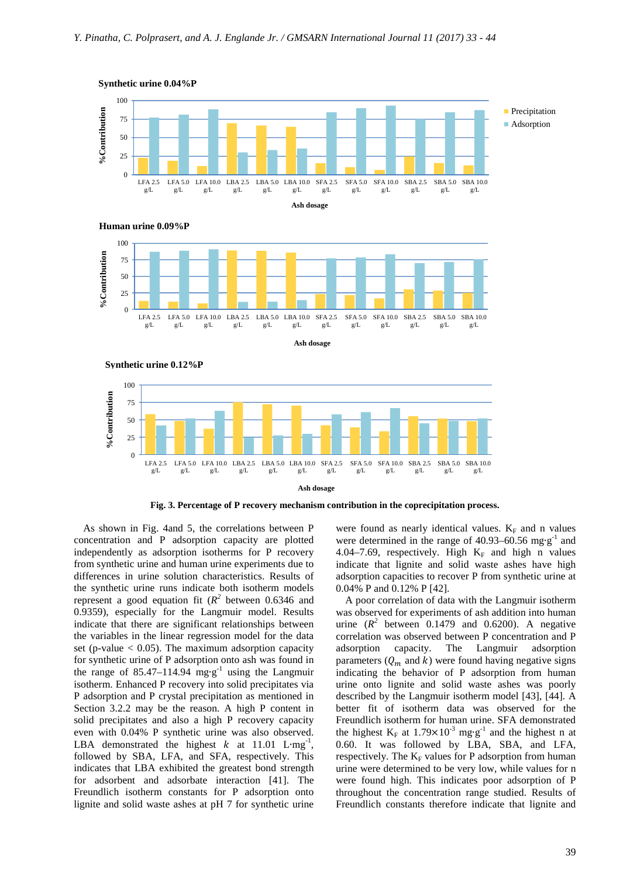













**Fig. 3. Percentage of P recovery mechanism contribution in the coprecipitation process.** 

As shown in Fig. 4and 5, the correlations between P concentration and P adsorption capacity are plotted independently as adsorption isotherms for P recovery from synthetic urine and human urine experiments due to differences in urine solution characteristics. Results of the synthetic urine runs indicate both isotherm models represent a good equation fit  $(R^2)$  between 0.6346 and 0.9359), especially for the Langmuir model. Results indicate that there are significant relationships between the variables in the linear regression model for the data set (p-value  $< 0.05$ ). The maximum adsorption capacity for synthetic urine of P adsorption onto ash was found in the range of 85.47–114.94 mg⋅g<sup>-1</sup> using the Langmuir isotherm. Enhanced P recovery into solid precipitates via P adsorption and P crystal precipitation as mentioned in Section 3.2.2 may be the reason. A high P content in solid precipitates and also a high P recovery capacity even with 0.04% P synthetic urine was also observed. LBA demonstrated the highest  $k$  at 11.01 L⋅mg<sup>-1</sup>, followed by SBA, LFA, and SFA, respectively. This indicates that LBA exhibited the greatest bond strength for adsorbent and adsorbate interaction [41]. The Freundlich isotherm constants for P adsorption onto lignite and solid waste ashes at pH 7 for synthetic urine

were found as nearly identical values.  $K_F$  and n values were determined in the range of 40.93–60.56 mg⋅g<sup>-1</sup> and 4.04–7.69, respectively. High  $K_F$  and high n values indicate that lignite and solid waste ashes have high adsorption capacities to recover P from synthetic urine at 0.04% P and 0.12% P [42].

A poor correlation of data with the Langmuir isotherm was observed for experiments of ash addition into human urine  $(R^2)$  between 0.1479 and 0.6200). A negative correlation was observed between P concentration and P adsorption capacity. The Langmuir adsorption parameters  $(Q_m$  and k) were found having negative signs indicating the behavior of P adsorption from human urine onto lignite and solid waste ashes was poorly described by the Langmuir isotherm model [43], [44]. A better fit of isotherm data was observed for the Freundlich isotherm for human urine. SFA demonstrated the highest  $K_F$  at 1.79×10<sup>-3</sup> mg⋅g<sup>-1</sup> and the highest n at 0.60. It was followed by LBA, SBA, and LFA, respectively. The  $K_F$  values for P adsorption from human urine were determined to be very low, while values for n were found high. This indicates poor adsorption of P throughout the concentration range studied. Results of Freundlich constants therefore indicate that lignite and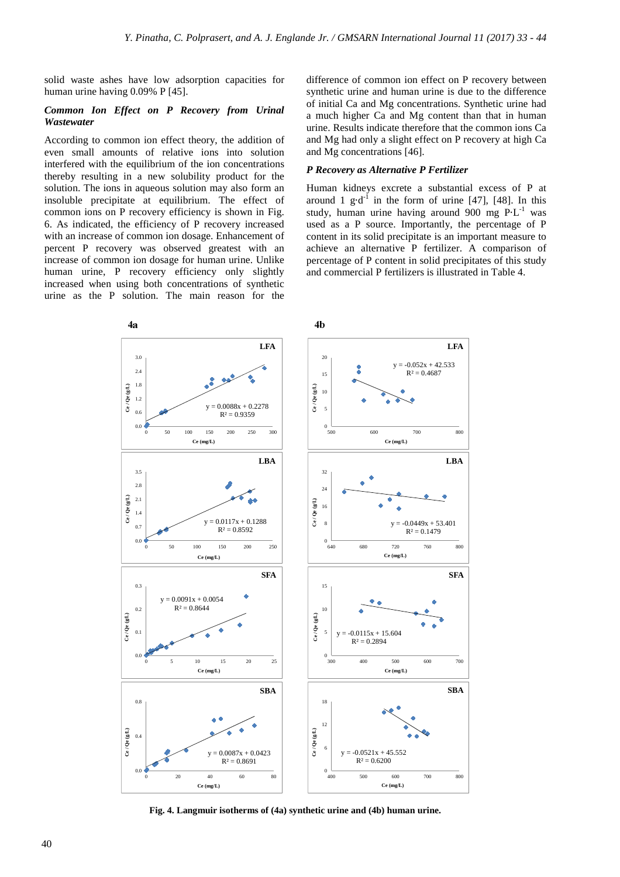solid waste ashes have low adsorption capacities for human urine having 0.09% P [45].

# *Common Ion Effect on P Recovery from Urinal Wastewater*

According to common ion effect theory, the addition of even small amounts of relative ions into solution interfered with the equilibrium of the ion concentrations thereby resulting in a new solubility product for the solution. The ions in aqueous solution may also form an insoluble precipitate at equilibrium. The effect of common ions on P recovery efficiency is shown in Fig. 6. As indicated, the efficiency of P recovery increased with an increase of common ion dosage. Enhancement of percent P recovery was observed greatest with an increase of common ion dosage for human urine. Unlike human urine, P recovery efficiency only slightly increased when using both concentrations of synthetic urine as the P solution. The main reason for the

difference of common ion effect on P recovery between synthetic urine and human urine is due to the difference of initial Ca and Mg concentrations. Synthetic urine had a much higher Ca and Mg content than that in human urine. Results indicate therefore that the common ions Ca and Mg had only a slight effect on P recovery at high Ca and Mg concentrations [46].

# *P Recovery as Alternative P Fertilizer*

Human kidneys excrete a substantial excess of P at around 1 g⋅d<sup>-1</sup> in the form of urine [47], [48]. In this study, human urine having around 900 mg P⋅L<sup>-1</sup> was used as a P source. Importantly, the percentage of P content in its solid precipitate is an important measure to achieve an alternative P fertilizer. A comparison of percentage of P content in solid precipitates of this study and commercial P fertilizers is illustrated in Table 4.



**Fig. 4. Langmuir isotherms of (4a) synthetic urine and (4b) human urine.**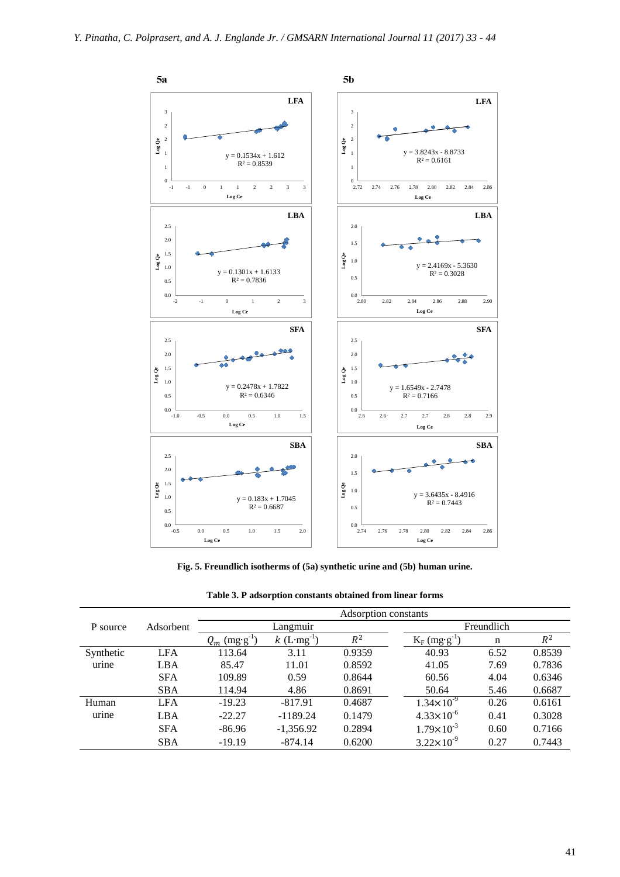

**Fig. 5. Freundlich isotherms of (5a) synthetic urine and (5b) human urine.** 

|           | Adsorbent  | Adsorption constants         |                           |        |                             |      |        |  |  |
|-----------|------------|------------------------------|---------------------------|--------|-----------------------------|------|--------|--|--|
| P source  |            | Langmuir                     |                           |        | Freundlich                  |      |        |  |  |
|           |            | $(mg \cdot g^{-1})$<br>$Q_m$ | $k$ (L·mg <sup>-1</sup> ) | $R^2$  | $K_F$ (mg·g <sup>-1</sup> ) | n    | $R^2$  |  |  |
| Synthetic | <b>LFA</b> | 113.64                       | 3.11                      | 0.9359 | 40.93                       | 6.52 | 0.8539 |  |  |
| urine     | LBA        | 85.47                        | 11.01                     | 0.8592 | 41.05                       | 7.69 | 0.7836 |  |  |
|           | <b>SFA</b> | 109.89                       | 0.59                      | 0.8644 | 60.56                       | 4.04 | 0.6346 |  |  |
|           | <b>SBA</b> | 114.94                       | 4.86                      | 0.8691 | 50.64                       | 5.46 | 0.6687 |  |  |
| Human     | <b>LFA</b> | $-19.23$                     | $-817.91$                 | 0.4687 | $1.34 \times 10^{-9}$       | 0.26 | 0.6161 |  |  |
| urine     | LBA        | $-22.27$                     | $-1189.24$                | 0.1479 | $4.33 \times 10^{-6}$       | 0.41 | 0.3028 |  |  |
|           | <b>SFA</b> | $-86.96$                     | $-1,356.92$               | 0.2894 | $1.79 \times 10^{-3}$       | 0.60 | 0.7166 |  |  |
|           | <b>SBA</b> | $-19.19$                     | $-874.14$                 | 0.6200 | $3.22 \times 10^{-9}$       | 0.27 | 0.7443 |  |  |

**Table 3. P adsorption constants obtained from linear forms**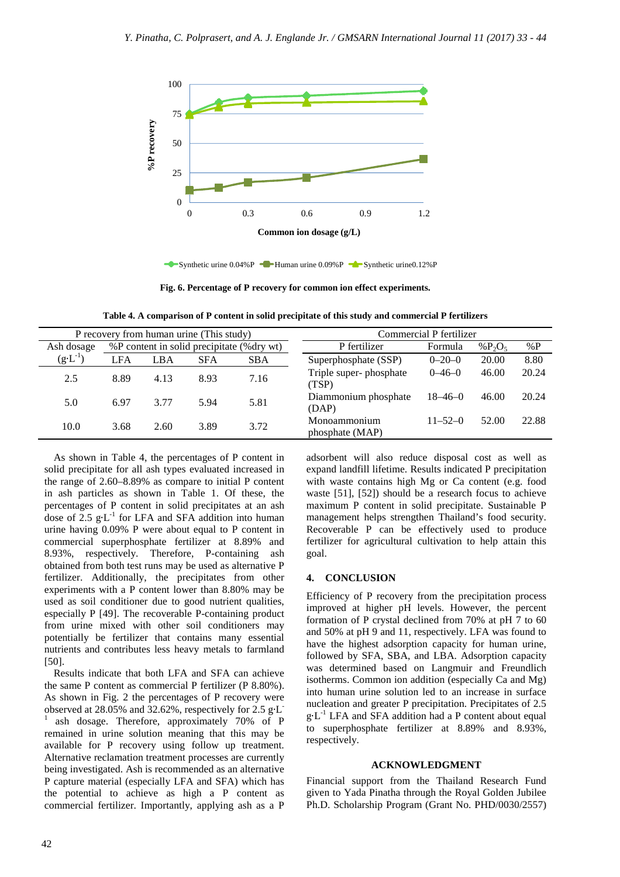

Synthetic urine 0.04%P - Human urine 0.09%P - Synthetic urine0.12%P

**Fig. 6. Percentage of P recovery for common ion effect experiments.** 

**Table 4. A comparison of P content in solid precipitate of this study and commercial P fertilizers** 

| P recovery from human urine (This study) |                                           |            |              | Commercial P fertilizer |                                 |               |       |       |
|------------------------------------------|-------------------------------------------|------------|--------------|-------------------------|---------------------------------|---------------|-------|-------|
| Ash dosage                               | %P content in solid precipitate (%dry wt) |            | P fertilizer | Formula                 | % $P_2O_5$                      | % $P$         |       |       |
| $(g \cdot L^{-1})$                       | <b>LFA</b>                                | <b>LBA</b> | <b>SFA</b>   | <b>SBA</b>              | Superphosphate (SSP)            | $0 - 20 - 0$  | 20.00 | 8.80  |
| 2.5                                      | 8.89                                      | 4.13       | 8.93         | 7.16                    | Triple super-phosphate<br>(TSP) | $0 - 46 - 0$  | 46.00 | 20.24 |
| 5.0                                      | 6.97                                      | 3.77       | 5.94         | 5.81                    | Diammonium phosphate<br>(DAP)   | $18 - 46 - 0$ | 46.00 | 20.24 |
| 10.0                                     | 3.68                                      | 2.60       | 3.89         | 3.72                    | Monoammonium<br>phosphate (MAP) | $11 - 52 - 0$ | 52.00 | 22.88 |

As shown in Table 4, the percentages of P content in solid precipitate for all ash types evaluated increased in the range of 2.60–8.89% as compare to initial P content in ash particles as shown in Table 1. Of these, the percentages of P content in solid precipitates at an ash dose of 2.5  $g$ ⋅L<sup>-1</sup> for LFA and SFA addition into human urine having 0.09% P were about equal to P content in commercial superphosphate fertilizer at 8.89% and 8.93%, respectively. Therefore, P-containing ash obtained from both test runs may be used as alternative P fertilizer. Additionally, the precipitates from other experiments with a P content lower than 8.80% may be used as soil conditioner due to good nutrient qualities, especially P [49]. The recoverable P-containing product from urine mixed with other soil conditioners may potentially be fertilizer that contains many essential nutrients and contributes less heavy metals to farmland [50].

Results indicate that both LFA and SFA can achieve the same P content as commercial P fertilizer (P 8.80%). As shown in Fig. 2 the percentages of P recovery were observed at 28.05% and 32.62%, respectively for 2.5 g∙L - 1 ash dosage. Therefore, approximately 70% of P remained in urine solution meaning that this may be available for P recovery using follow up treatment. Alternative reclamation treatment processes are currently being investigated. Ash is recommended as an alternative P capture material (especially LFA and SFA) which has the potential to achieve as high a P content as commercial fertilizer. Importantly, applying ash as a P

adsorbent will also reduce disposal cost as well as expand landfill lifetime. Results indicated P precipitation with waste contains high Mg or Ca content (e.g. food waste [51], [52]) should be a research focus to achieve maximum P content in solid precipitate. Sustainable P management helps strengthen Thailand's food security. Recoverable P can be effectively used to produce fertilizer for agricultural cultivation to help attain this goal.

# **4. CONCLUSION**

Efficiency of P recovery from the precipitation process improved at higher pH levels. However, the percent formation of P crystal declined from 70% at pH 7 to 60 and 50% at pH 9 and 11, respectively. LFA was found to have the highest adsorption capacity for human urine, followed by SFA, SBA, and LBA. Adsorption capacity was determined based on Langmuir and Freundlich isotherms. Common ion addition (especially Ca and Mg) into human urine solution led to an increase in surface nucleation and greater P precipitation. Precipitates of 2.5 g⋅L<sup>-1</sup> LFA and SFA addition had a P content about equal to superphosphate fertilizer at 8.89% and 8.93%, respectively.

## **ACKNOWLEDGMENT**

Financial support from the Thailand Research Fund given to Yada Pinatha through the Royal Golden Jubilee Ph.D. Scholarship Program (Grant No. PHD/0030/2557)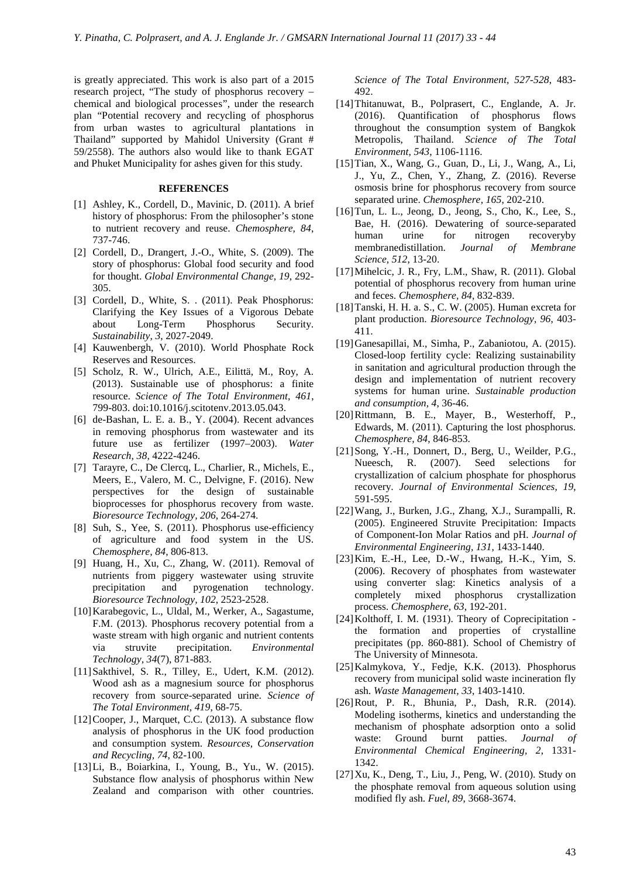is greatly appreciated. This work is also part of a 2015 research project, "The study of phosphorus recovery – chemical and biological processes", under the research plan "Potential recovery and recycling of phosphorus from urban wastes to agricultural plantations in Thailand" supported by Mahidol University (Grant # 59/2558). The authors also would like to thank EGAT and Phuket Municipality for ashes given for this study.

#### **REFERENCES**

- [1] Ashley, K., Cordell, D., Mavinic, D. (2011). A brief history of phosphorus: From the philosopher's stone to nutrient recovery and reuse. *Chemosphere, 84*, 737-746.
- [2] Cordell, D., Drangert, J.-O., White, S. (2009). The story of phosphorus: Global food security and food for thought. *Global Environmental Change, 19*, 292- 305.
- [3] Cordell, D., White, S. . (2011). Peak Phosphorus: Clarifying the Key Issues of a Vigorous Debate about Long-Term Phosphorus Security. *Sustainability, 3*, 2027-2049.
- [4] Kauwenbergh, V. (2010). World Phosphate Rock Reserves and Resources.
- [5] Scholz, R. W., Ulrich, A.E., Eilittä, M., Roy, A. (2013). Sustainable use of phosphorus: a finite resource. *Science of The Total Environment, 461*, 799-803. doi:10.1016/j.scitotenv.2013.05.043.
- [6] de-Bashan, L. E. a. B., Y. (2004). Recent advances in removing phosphorus from wastewater and its future use as fertilizer (1997–2003). *Water Research, 38*, 4222-4246.
- [7] Tarayre, C., De Clercq, L., Charlier, R., Michels, E., Meers, E., Valero, M. C., Delvigne, F. (2016). New perspectives for the design of sustainable bioprocesses for phosphorus recovery from waste. *Bioresource Technology, 206*, 264-274.
- [8] Suh, S., Yee, S. (2011). Phosphorus use-efficiency of agriculture and food system in the US. *Chemosphere, 84*, 806-813.
- [9] Huang, H., Xu, C., Zhang, W. (2011). Removal of nutrients from piggery wastewater using struvite precipitation and pyrogenation technology. *Bioresource Technology, 102*, 2523-2528.
- [10]Karabegovic, L., Uldal, M., Werker, A., Sagastume, F.M. (2013). Phosphorus recovery potential from a waste stream with high organic and nutrient contents via struvite precipitation. *Environmental Technology, 34*(7), 871-883.
- [11]Sakthivel, S. R., Tilley, E., Udert, K.M. (2012). Wood ash as a magnesium source for phosphorus recovery from source-separated urine. *Science of The Total Environment, 419*, 68-75.
- [12]Cooper, J., Marquet, C.C. (2013). A substance flow analysis of phosphorus in the UK food production and consumption system. *Resources, Conservation and Recycling, 74*, 82-100.
- [13]Li, B., Boiarkina, I., Young, B., Yu., W. (2015). Substance flow analysis of phosphorus within New Zealand and comparison with other countries.

*Science of The Total Environment, 527-528*, 483- 492.

- [14]Thitanuwat, B., Polprasert, C., Englande, A. Jr. (2016). Quantification of phosphorus flows throughout the consumption system of Bangkok Metropolis, Thailand. *Science of The Total Environment, 543*, 1106-1116.
- [15]Tian, X., Wang, G., Guan, D., Li, J., Wang, A., Li, J., Yu, Z., Chen, Y., Zhang, Z. (2016). Reverse osmosis brine for phosphorus recovery from source separated urine. *Chemosphere, 165*, 202-210.
- [16]Tun, L. L., Jeong, D., Jeong, S., Cho, K., Lee, S., Bae, H. (2016). Dewatering of source-separated human urine for nitrogen recoveryby membranedistillation. *Journal of Membrane Science, 512*, 13-20.
- [17] Mihelcic, J. R., Fry, L.M., Shaw, R. (2011). Global potential of phosphorus recovery from human urine and feces. *Chemosphere, 84*, 832-839.
- [18]Tanski, H. H. a. S., C. W. (2005). Human excreta for plant production. *Bioresource Technology, 96*, 403- 411.
- [19]Ganesapillai, M., Simha, P., Zabaniotou, A. (2015). Closed-loop fertility cycle: Realizing sustainability in sanitation and agricultural production through the design and implementation of nutrient recovery systems for human urine. *Sustainable production and consumption, 4*, 36-46.
- [20]Rittmann, B. E., Mayer, B., Westerhoff, P., Edwards, M. (2011). Capturing the lost phosphorus. *Chemosphere, 84*, 846-853.
- [21]Song, Y.-H., Donnert, D., Berg, U., Weilder, P.G., Nueesch, R. (2007). Seed selections for crystallization of calcium phosphate for phosphorus recovery. *Journal of Environmental Sciences, 19*, 591-595.
- [22]Wang, J., Burken, J.G., Zhang, X.J., Surampalli, R. (2005). Engineered Struvite Precipitation: Impacts of Component-Ion Molar Ratios and pH. *Journal of Environmental Engineering, 131*, 1433-1440.
- [23]Kim, E.-H., Lee, D.-W., Hwang, H.-K., Yim, S. (2006). Recovery of phosphates from wastewater using converter slag: Kinetics analysis of a completely mixed phosphorus crystallization process. *Chemosphere, 63*, 192-201.
- [24] Kolthoff, I. M. (1931). Theory of Coprecipitation the formation and properties of crystalline precipitates (pp. 860-881). School of Chemistry of The University of Minnesota.
- [25]Kalmykova, Y., Fedje, K.K. (2013). Phosphorus recovery from municipal solid waste incineration fly ash. *Waste Management, 33*, 1403-1410.
- [26]Rout, P. R., Bhunia, P., Dash, R.R. (2014). Modeling isotherms, kinetics and understanding the mechanism of phosphate adsorption onto a solid waste: Ground burnt patties. *Journal of Environmental Chemical Engineering, 2*, 1331- 1342.
- [27]Xu, K., Deng, T., Liu, J., Peng, W. (2010). Study on the phosphate removal from aqueous solution using modified fly ash. *Fuel, 89*, 3668-3674.